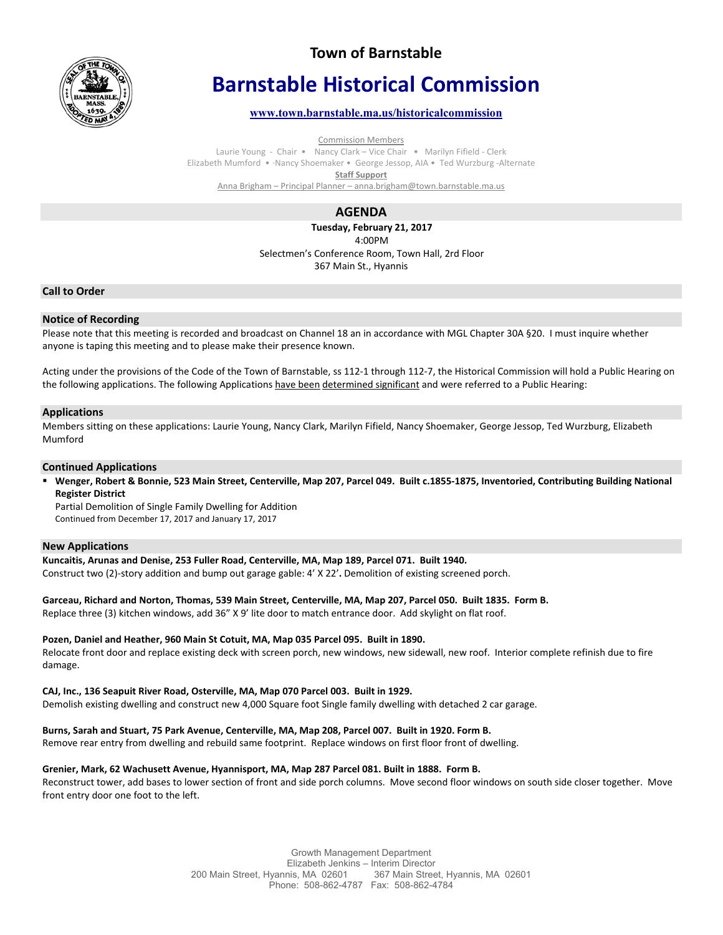

# **Town of Barnstable**

# **Barnstable Historical Commission**

# **www.town.barnstable.ma.us/historicalcommission**

Commission Members

Laurie Young - Chair • Nancy Clark – Vice Chair • Marilyn Fifield - Clerk Elizabeth Mumford • ·Nancy Shoemaker • George Jessop, AIA • Ted Wurzburg -Alternate **Staff Support** 

Anna Brigham – Principal Planner – anna.brigham@town.barnstable.ma.us

# **AGENDA**

**Tuesday, February 21, 2017**  4:00PM Selectmen's Conference Room, Town Hall, 2rd Floor 367 Main St., Hyannis

# **Call to Order**

# **Notice of Recording**

Please note that this meeting is recorded and broadcast on Channel 18 an in accordance with MGL Chapter 30A §20. I must inquire whether anyone is taping this meeting and to please make their presence known.

Acting under the provisions of the Code of the Town of Barnstable, ss 112-1 through 112-7, the Historical Commission will hold a Public Hearing on the following applications. The following Applications have been determined significant and were referred to a Public Hearing:

# **Applications**

Members sitting on these applications: Laurie Young, Nancy Clark, Marilyn Fifield, Nancy Shoemaker, George Jessop, Ted Wurzburg, Elizabeth Mumford

#### **Continued Applications**

 **Wenger, Robert & Bonnie, 523 Main Street, Centerville, Map 207, Parcel 049. Built c.1855-1875, Inventoried, Contributing Building National Register District**

Partial Demolition of Single Family Dwelling for Addition Continued from December 17, 2017 and January 17, 2017

#### **New Applications**

#### **Kuncaitis, Arunas and Denise, 253 Fuller Road, Centerville, MA, Map 189, Parcel 071. Built 1940.**

Construct two (2)-story addition and bump out garage gable: 4' X 22'**.** Demolition of existing screened porch.

#### **Garceau, Richard and Norton, Thomas, 539 Main Street, Centerville, MA, Map 207, Parcel 050. Built 1835. Form B.**

Replace three (3) kitchen windows, add 36" X 9' lite door to match entrance door. Add skylight on flat roof.

#### **Pozen, Daniel and Heather, 960 Main St Cotuit, MA, Map 035 Parcel 095. Built in 1890.**

Relocate front door and replace existing deck with screen porch, new windows, new sidewall, new roof. Interior complete refinish due to fire damage.

#### **CAJ, Inc., 136 Seapuit River Road, Osterville, MA, Map 070 Parcel 003. Built in 1929.**

Demolish existing dwelling and construct new 4,000 Square foot Single family dwelling with detached 2 car garage.

#### **Burns, Sarah and Stuart, 75 Park Avenue, Centerville, MA, Map 208, Parcel 007. Built in 1920. Form B.**

Remove rear entry from dwelling and rebuild same footprint. Replace windows on first floor front of dwelling.

#### **Grenier, Mark, 62 Wachusett Avenue, Hyannisport, MA, Map 287 Parcel 081. Built in 1888. Form B.**

Reconstruct tower, add bases to lower section of front and side porch columns. Move second floor windows on south side closer together. Move front entry door one foot to the left.

> Growth Management Department Elizabeth Jenkins – Interim Director<br>nis, MA 02601 367 Main Street, Hyannis, MA 02601 200 Main Street, Hyannis, MA 02601 Phone: 508-862-4787 Fax: 508-862-4784